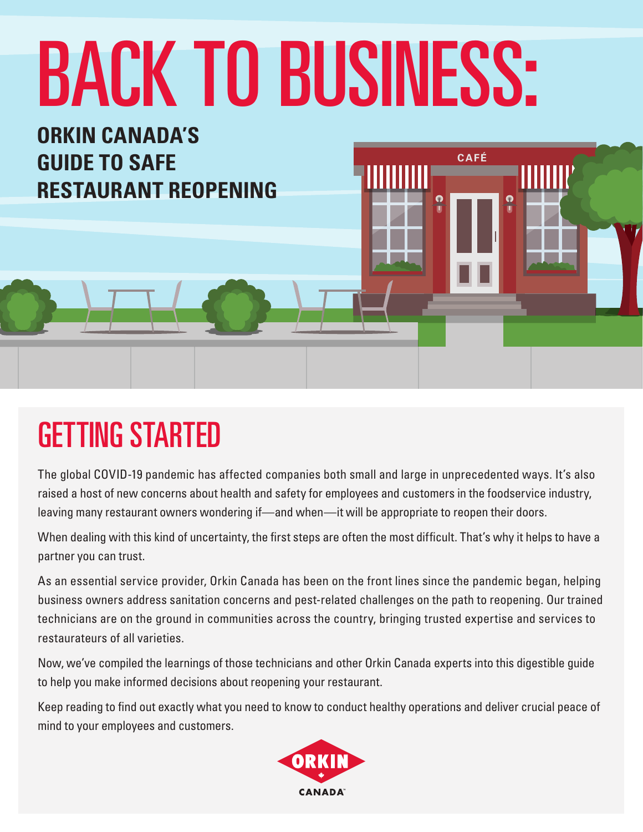# BACK TO BUSINESS:

**CAFÉ** 

**TITTER** 

 $\bullet$ 



**ORKIN CANADA'S** 

**RESTAURANT REOPENING**

**GUIDE TO SAFE** 

The global COVID-19 pandemic has affected companies both small and large in unprecedented ways. It's also raised a host of new concerns about health and safety for employees and customers in the foodservice industry, leaving many restaurant owners wondering if—and when—it will be appropriate to reopen their doors.

When dealing with this kind of uncertainty, the first steps are often the most difficult. That's why it helps to have a partner you can trust.

As an essential service provider, Orkin Canada has been on the front lines since the pandemic began, helping business owners address sanitation concerns and pest-related challenges on the path to reopening. Our trained technicians are on the ground in communities across the country, bringing trusted expertise and services to restaurateurs of all varieties.

Now, we've compiled the learnings of those technicians and other Orkin Canada experts into this digestible guide to help you make informed decisions about reopening your restaurant.

Keep reading to find out exactly what you need to know to conduct healthy operations and deliver crucial peace of mind to your employees and customers.

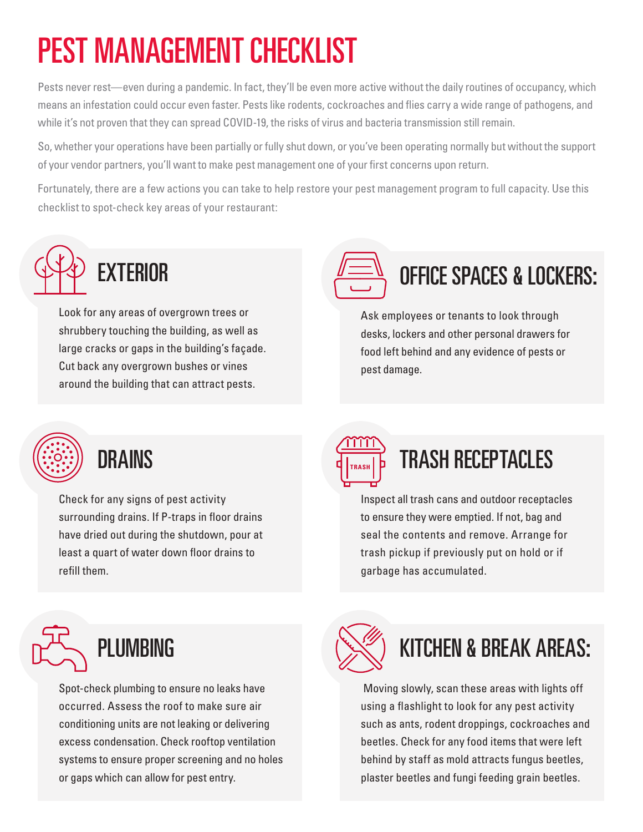## PEST MANAGEMENT CHECKLIST

Pests never rest—even during a pandemic. In fact, they'll be even more active without the daily routines of occupancy, which means an infestation could occur even faster. Pests like rodents, cockroaches and flies carry a wide range of pathogens, and while it's not proven that they can spread COVID-19, the risks of virus and bacteria transmission still remain.

So, whether your operations have been partially or fully shut down, or you've been operating normally but without the support of your vendor partners, you'll want to make pest management one of your first concerns upon return.

Fortunately, there are a few actions you can take to help restore your pest management program to full capacity. Use this checklist to spot-check key areas of your restaurant:



Look for any areas of overgrown trees or shrubbery touching the building, as well as large cracks or gaps in the building's façade. Cut back any overgrown bushes or vines around the building that can attract pests.



#### OFFICE SPACES & LOCKERS:

Ask employees or tenants to look through desks, lockers and other personal drawers for food left behind and any evidence of pests or pest damage.



Check for any signs of pest activity surrounding drains. If P-traps in floor drains have dried out during the shutdown, pour at least a quart of water down floor drains to refill them.



#### DRAINS **TRASH RECEPTACLES**

Inspect all trash cans and outdoor receptacles to ensure they were emptied. If not, bag and seal the contents and remove. Arrange for trash pickup if previously put on hold or if garbage has accumulated.



Spot-check plumbing to ensure no leaks have occurred. Assess the roof to make sure air conditioning units are not leaking or delivering excess condensation. Check rooftop ventilation systems to ensure proper screening and no holes or gaps which can allow for pest entry.



#### KITCHEN & BREAK AREAS:

 Moving slowly, scan these areas with lights off using a flashlight to look for any pest activity such as ants, rodent droppings, cockroaches and beetles. Check for any food items that were left behind by staff as mold attracts fungus beetles, plaster beetles and fungi feeding grain beetles.